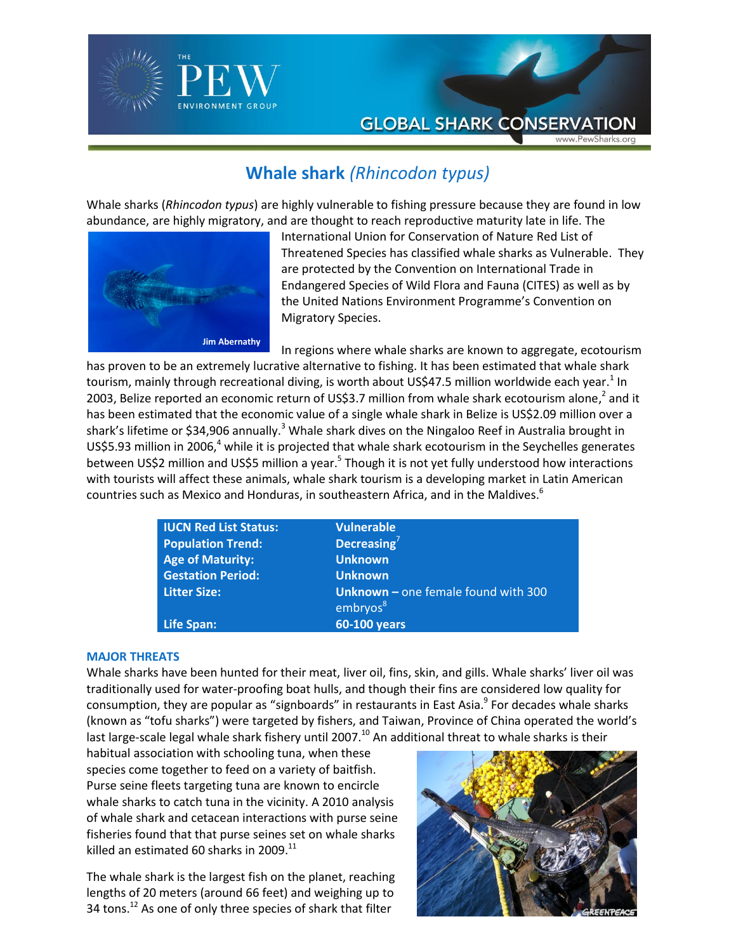

## **Whale shark** *(Rhincodon typus)*

Whale sharks (*Rhincodon typus*) are highly vulnerable to fishing pressure because they are found in low abundance, are highly migratory, and are thought to reach reproductive maturity late in life. The



International Union for Conservation of Nature Red List of Threatened Species has classified whale sharks as Vulnerable. They are protected by the Convention on International Trade in Endangered Species of Wild Flora and Fauna (CITES) as well as by the United Nations Environment Programme's Convention on Migratory Species.

In regions where whale sharks are known to aggregate, ecotourism

has proven to be an extremely lucrative alternative to fishing. It has been estimated that whale shark tourism, mainly through recreational diving, is worth about US\$47.5 million worldwide each year. $^1$  In 2003, Belize reported an economic return of US\$3.7 million from whale shark ecotourism alone,<sup>2</sup> and it has been estimated that the economic value of a single whale shark in Belize is US\$2.09 million over a shark's lifetime or \$34,906 annually.<sup>3</sup> Whale shark dives on the Ningaloo Reef in Australia brought in US\$5.93 million in 2006, $4$  while it is projected that whale shark ecotourism in the Seychelles generates between US\$2 million and US\$5 million a year.<sup>5</sup> Though it is not yet fully understood how interactions with tourists will affect these animals, whale shark tourism is a developing market in Latin American countries such as Mexico and Honduras, in southeastern Africa, and in the Maldives.<sup>6</sup>

| <b>IUCN Red List Status:</b> | <b>Vulnerable</b>                            |
|------------------------------|----------------------------------------------|
| <b>Population Trend:</b>     | Decreasing $7$                               |
| <b>Age of Maturity:</b>      | <b>Unknown</b>                               |
| <b>Gestation Period:</b>     | <b>Unknown</b>                               |
| <b>Litter Size:</b>          | <b>Unknown</b> – one female found with $300$ |
|                              | embryos <sup>81</sup>                        |
| Life Span:                   | <b>60-100 years</b>                          |

## **MAJOR THREATS**

Whale sharks have been hunted for their meat, liver oil, fins, skin, and gills. Whale sharks' liver oil was traditionally used for water-proofing boat hulls, and though their fins are considered low quality for consumption, they are popular as "signboards" in restaurants in East Asia.<sup>9</sup> For decades whale sharks (known as "tofu sharks") were targeted by fishers, and Taiwan, Province of China operated the world's last large-scale legal whale shark fishery until 2007.<sup>10</sup> An additional threat to whale sharks is their

habitual association with schooling tuna, when these species come together to feed on a variety of baitfish. Purse seine fleets targeting tuna are known to encircle whale sharks to catch tuna in the vicinity. A 2010 analysis of whale shark and cetacean interactions with purse seine fisheries found that that purse seines set on whale sharks killed an estimated 60 sharks in 2009.<sup>11</sup>

The whale shark is the largest fish on the planet, reaching lengths of 20 meters (around 66 feet) and weighing up to 34 tons.<sup>12</sup> As one of only three species of shark that filter